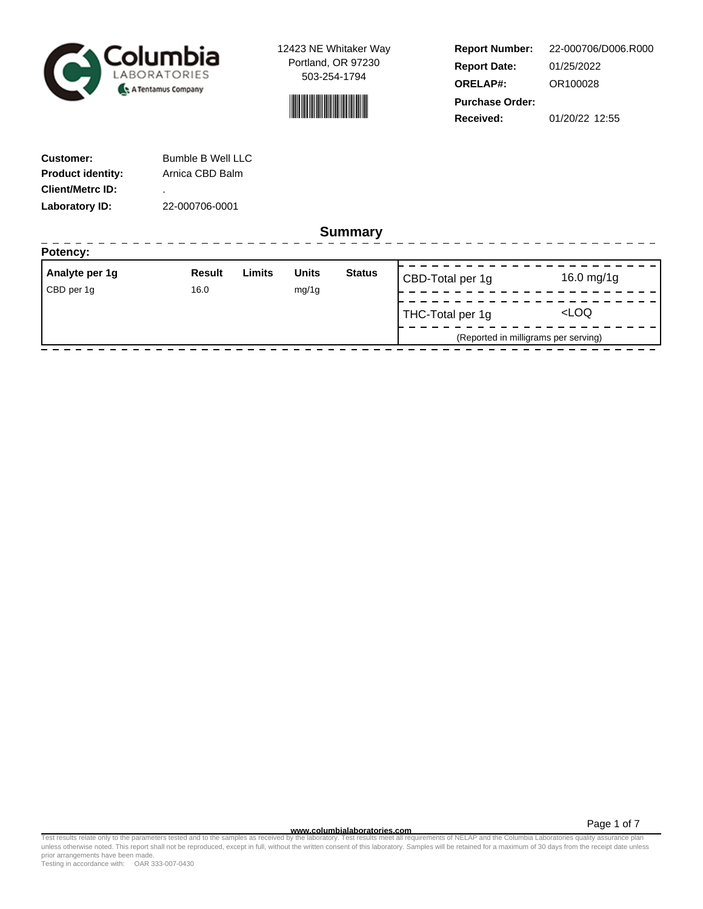



**Report Number: Report Date: ORELAP#:** 01/25/2022 OR100028 **Received:** 01/20/22 12:55 **Purchase Order:** 22-000706/D006.R000

------------------

| <b>Customer:</b>         | Bumble B Well LLC |
|--------------------------|-------------------|
| <b>Product identity:</b> | Arnica CBD Balm   |
| <b>Client/Metrc ID:</b>  | ٠                 |
| Laboratory ID:           | 22-000706-0001    |

**Summary**

| Potency:       |        |        |              |               |                  |                                      |
|----------------|--------|--------|--------------|---------------|------------------|--------------------------------------|
| Analyte per 1g | Result | Limits | <b>Units</b> | <b>Status</b> | CBD-Total per 1g | 16.0 mg/1g                           |
| CBD per 1g     | 16.0   |        | mg/1g        |               |                  |                                      |
|                |        |        |              |               | THC-Total per 1g | <loq< td=""></loq<>                  |
|                |        |        |              |               |                  | (Reported in milligrams per serving) |
|                |        |        |              |               |                  |                                      |

Page 1 of 7

www.columbialaboratories.com<br>Test results relate only to the parameters tested and to the samples as received by the laboratories metall requirements of NELAP and the Columbia Laboratories quality assurance plan<br>unless oth prior arrangements have been made.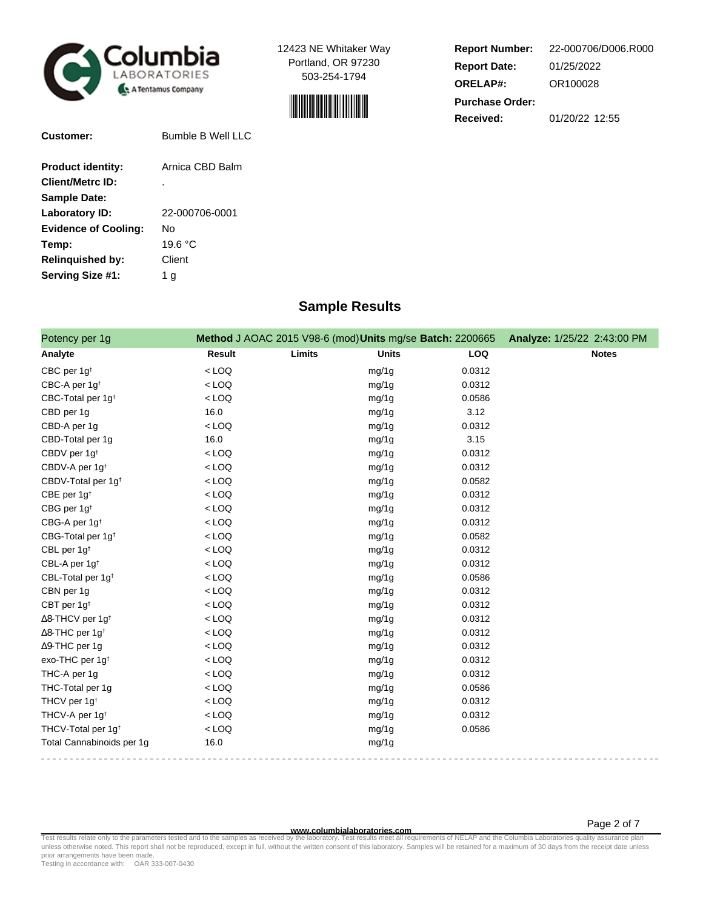



| <b>Report Number:</b>  | 22-000706/D006.R000 |  |  |  |
|------------------------|---------------------|--|--|--|
| <b>Report Date:</b>    | 01/25/2022          |  |  |  |
| <b>ORELAP#:</b>        | OR100028            |  |  |  |
| <b>Purchase Order:</b> |                     |  |  |  |
| <b>Received:</b>       | 01/20/22 12:55      |  |  |  |

| <b>Bumble B Well LLC</b> |
|--------------------------|
| Arnica CBD Balm          |
|                          |
|                          |
| 22-000706-0001           |
| Nο                       |
| 19.6 °C                  |
| Client                   |
| 1 a                      |
|                          |

# **Sample Results**

| Potency per 1g                      |         | Method J AOAC 2015 V98-6 (mod) Units mg/se Batch: 2200665 |            | Analyze: 1/25/22 2:43:00 PM |
|-------------------------------------|---------|-----------------------------------------------------------|------------|-----------------------------|
| Analyte                             | Result  | Limits<br><b>Units</b>                                    | <b>LOQ</b> | <b>Notes</b>                |
| CBC per 1g <sup>t</sup>             | $<$ LOQ | mg/1g                                                     | 0.0312     |                             |
| CBC-A per 1g <sup>t</sup>           | $<$ LOQ | mg/1g                                                     | 0.0312     |                             |
| CBC-Total per 1g <sup>t</sup>       | $<$ LOQ | mg/1g                                                     | 0.0586     |                             |
| CBD per 1g                          | 16.0    | mg/1g                                                     | 3.12       |                             |
| CBD-A per 1g                        | $<$ LOQ | mg/1g                                                     | 0.0312     |                             |
| CBD-Total per 1g                    | 16.0    | mg/1g                                                     | 3.15       |                             |
| CBDV per 1g <sup>t</sup>            | $<$ LOQ | mg/1g                                                     | 0.0312     |                             |
| CBDV-A per 1g <sup>t</sup>          | $<$ LOQ | mg/1g                                                     | 0.0312     |                             |
| CBDV-Total per 1g <sup>+</sup>      | $<$ LOQ | mg/1g                                                     | 0.0582     |                             |
| CBE per 1g <sup>t</sup>             | $<$ LOQ | mg/1g                                                     | 0.0312     |                             |
| CBG per 1g <sup>t</sup>             | $<$ LOQ | mg/1g                                                     | 0.0312     |                             |
| CBG-A per 1g <sup>t</sup>           | $<$ LOQ | mg/1g                                                     | 0.0312     |                             |
| CBG-Total per 1g <sup>t</sup>       | $<$ LOQ | mg/1g                                                     | 0.0582     |                             |
| CBL per 1g <sup>t</sup>             | $<$ LOQ | mg/1g                                                     | 0.0312     |                             |
| CBL-A per 1g <sup>t</sup>           | $<$ LOQ | mg/1g                                                     | 0.0312     |                             |
| CBL-Total per 1g <sup>t</sup>       | $<$ LOQ | mg/1g                                                     | 0.0586     |                             |
| CBN per 1g                          | $<$ LOQ | mg/1g                                                     | 0.0312     |                             |
| CBT per 1g <sup>t</sup>             | $<$ LOQ | mg/1g                                                     | 0.0312     |                             |
| $\Delta$ 8-THCV per 1g <sup>t</sup> | $<$ LOQ | mg/1g                                                     | 0.0312     |                             |
| $\Delta$ 8-THC per 1g <sup>+</sup>  | $<$ LOQ | mg/1g                                                     | 0.0312     |                             |
| ∆9-THC per 1g                       | $<$ LOQ | mg/1g                                                     | 0.0312     |                             |
| exo-THC per 1g <sup>t</sup>         | $<$ LOQ | mg/1g                                                     | 0.0312     |                             |
| THC-A per 1g                        | $<$ LOQ | mg/1g                                                     | 0.0312     |                             |
| THC-Total per 1g                    | $<$ LOQ | mg/1g                                                     | 0.0586     |                             |
| THCV per 1g <sup>t</sup>            | $<$ LOQ | mg/1g                                                     | 0.0312     |                             |
| THCV-A per 1g <sup>t</sup>          | $<$ LOQ | mg/1g                                                     | 0.0312     |                             |
| THCV-Total per 1g <sup>+</sup>      | $<$ LOQ | mg/1g                                                     | 0.0586     |                             |
| Total Cannabinoids per 1g           | 16.0    | mg/1g                                                     |            |                             |

**WWW.columbialaboratories.com**<br>unless otherwise noted. This report shall not be reproduced, except in full, without the written consent of this laboratory. Samples will be retained for a maximum of 30 days from the receipt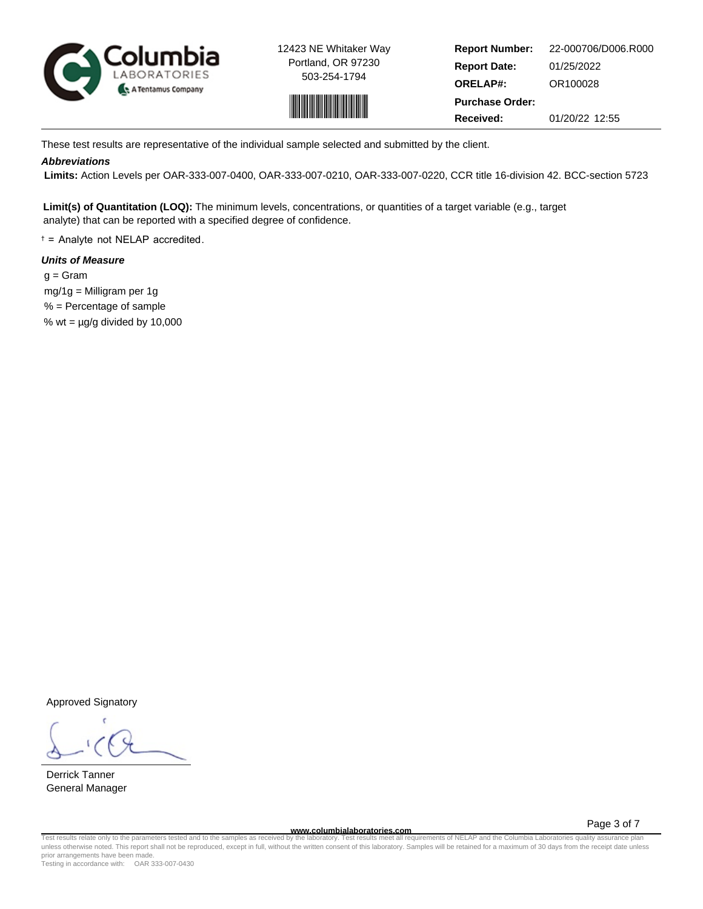



**Report Number: Report Date: ORELAP#:** 01/25/2022 OR100028 **Received:** 01/20/22 12:55 **Purchase Order:** 22-000706/D006.R000

These test results are representative of the individual sample selected and submitted by the client.

## **Abbreviations**

 **Limits:** Action Levels per OAR-333-007-0400, OAR-333-007-0210, OAR-333-007-0220, CCR title 16-division 42. BCC-section 5723

**Limit(s) of Quantitation (LOQ):** The minimum levels, concentrations, or quantities of a target variable (e.g., target analyte) that can be reported with a specified degree of confidence.

† = Analyte not NELAP accredited.

# **Units of Measure**

 $q = \text{Gram}$  mg/1g = Milligram per 1g % = Percentage of sample % wt =  $\mu$ g/g divided by 10,000

Approved Signatory

Derrick Tanner General Manager

**www.columbialaboratories.com**

Page 3 of 7

Test results relate only to the parameters tested and to the samples as received by the laboratory. Test results meet all requirements of NELAP and the Columbia Laboratories quality assurance plan<br>unless otherwise noted. T prior arrangements have been made.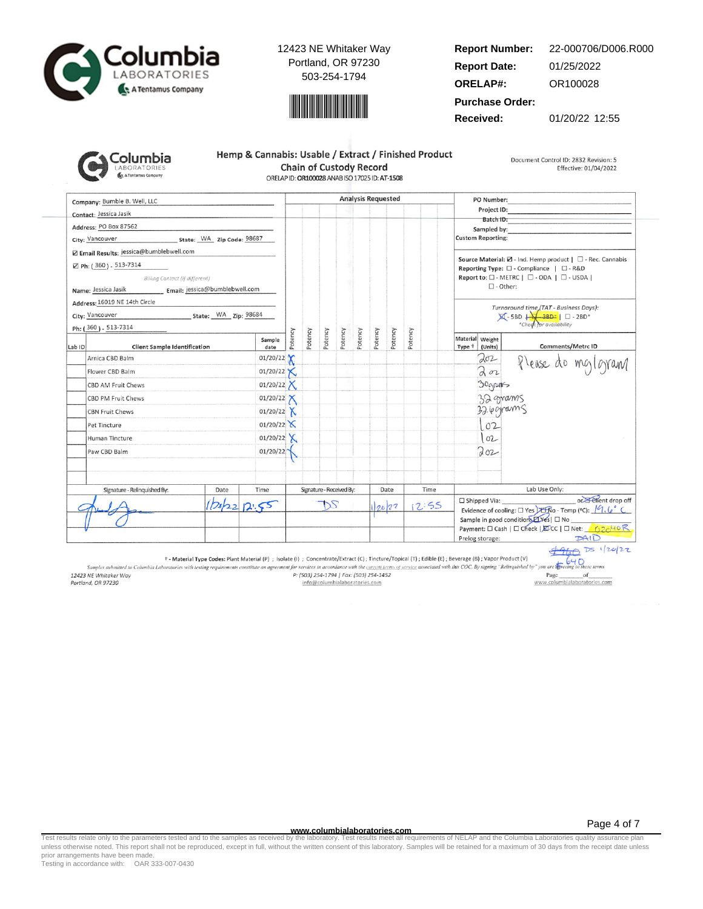



#### **Report Number: Report Date: ORELAP#:** 01/25/2022 OR100028 22-000706/D006.R000

**Purchase Order:**

**Received:** 01/20/22 12:55

| iolumbia            |
|---------------------|
| <b>LABORATORIES</b> |
| A Tentamus Company  |

| Hemp & Cannabis: Usable / Extract / Finished Product |  |  |  |  |  |
|------------------------------------------------------|--|--|--|--|--|
| <b>Chain of Custody Record</b>                       |  |  |  |  |  |
| ORELAP ID: OR100028 ANAB ISO 17025 ID: AT-1508       |  |  |  |  |  |

Document Control ID: 2832 Revision: 5 Effective: 01/04/2022

Company: Bumble B. Well, LLC **Analysis Requested** PO Number: Project ID: Contact: Jessica Jasik Batch ID: Address: PO Box 87562 Sampled by City: Vancouver State: WA Zip Code: 98687 **Custom Reporting:** Z Email Results: jessica@bumblebwell.com Source Material:  $\boxtimes$  - Ind. Hemp product |  $\Box$  - Rec. Cannabis ⊠ Ph: (360) - 513-7314 Reporting Type:  $\square$  - Compliance |  $\square$  - R&D Billing Contact (if different) Report to: □ - METRC | □ - ODA | □ - USDA |  $\square$  - Other: Name: Jessica Jasik Email: jessica@bumblebwell.com Address: 16019 NE 14th Circle Turnaround time (TAT - Business Days):<br> $\boxtimes$  - 5BD  $\downarrow$  - 3BD\*  $\parallel$   $\Box$  - 2BD\*<br>\*Check for availability State: WA Zip: 98684 City: Vancouver Ph: (360) - 513-7314 Potency Potency Potency Potency Potency Potency Potency Potency Material Weight Sample Comments/Metrc ID Lab ID **Client Sample Identification** date Type <sup>+</sup> (Units) 01/20/22  $202$ Arnica CBD Balm Please do mg/gram  $202$  $01/20/22$ Flower CBD Balm Х 01/20/22  $X$ 30grants CBD AM Fruit Chews  $01/20/22$ 32 grams CBD PM Fruit Chews 32.6 grams **CBN Fruit Chews** 01/20/22  $X$  $01/20/22$  $102$ Pet Tincture 01/20/22  $X$  $102$ Human Tincture Paw CBD Balm 01/20/22 Toz Signature - Relinquished By: Date Time Signature - Received By: Date Time Lab Use Only: or Elient drop off □ Shipped Via:  $2022$ DS  $12:55$  $12.55$ 20/22 Evidence of cooling:  $\square$  Yes  $\square$   $\overline{\text{R}}$  O - Temp (°C):  $\sqrt{9}$ ,  $\sqrt{9}$ Sample in good condition *LYes* | □ No Payment: □ Cash | □ Check | EDCC | □ Net: 62040 R  $PAID$ Prelog storage:

 $4960$  Ds 1/20/22  $640$ 

† - Material Type Codes: Plant Material (P) ; Isolate (i) ; Concentrate/Extract (C); Tincture/Topical (T); Edible (E); Beverage (B); Vapor Product (V)

Samples submitted to Columbia Laboratories with testing requirements constitute an agreement for services in accordance with the current terms of service associated with this COC. By signing "Relinquished by" you are the 12423 NE Whitaker Way P: (503) 254-1794 | Fax: (503) 254-1452 Page of www.columbialaboratories.com Portland, OR 97230 info@columbialaboratories.com

**www.columbialaboratories.com**

Test results relate only to the parameters tested and to the samples as received by the laboratory. Test results meet all requirements of NELAP and the Columbia Laboratories quality assurance plan<br>unless otherwise noted. T prior arrangements have been made.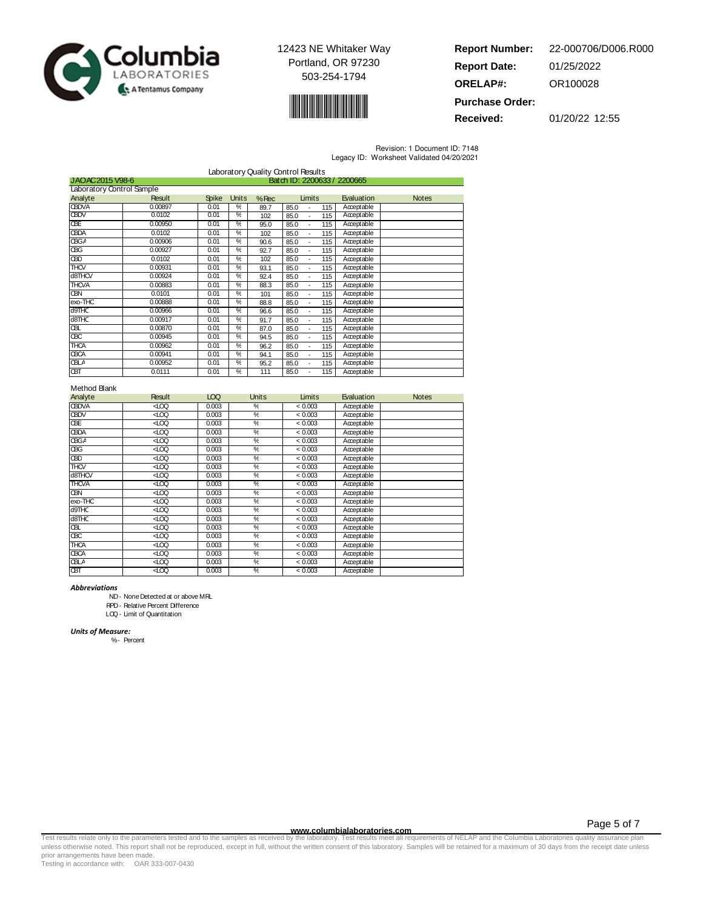



**Report Number: Report Date: ORELAP#:** 01/25/2022 OR100028 **Purchase Order:** 22-000706/D006.R000

**Received:** 01/20/22 12:55

Revision: 1 Document ID: 7148

Legacy ID: Worksheet Validated 04/20/2021

| Laboratory Quality Control Results |                                                |              |               |         |                               |            |              |
|------------------------------------|------------------------------------------------|--------------|---------------|---------|-------------------------------|------------|--------------|
|                                    | JAOAC2015 V98-6<br>Batch ID: 2200633 / 2200665 |              |               |         |                               |            |              |
| Laboratory Control Sample          |                                                |              |               |         |                               |            |              |
| Analyte                            | <b>Result</b>                                  | <b>Spike</b> | Units         | $%$ Rec | Limits                        | Evaluation | <b>Notes</b> |
| <b>GBDVA</b>                       | 0.00897                                        | 0.01         | %             | 89.7    | 85.0<br>115<br>L,             | Acceptable |              |
| <b>CBDV</b>                        | 0.0102                                         | 0.01         | ℀             | 102     | 85.0<br>115                   | Acceptable |              |
| ŒE                                 | 0.00950                                        | 0.01         | ℀             | 95.0    | 85.0<br>115                   | Acceptable |              |
| <b>CBDA</b>                        | 0.0102                                         | 0.01         | %             | 102     | 85.0<br>115<br>÷,             | Acceptable |              |
| <b>CBGA</b>                        | 0.00906                                        | 0.01         | %             | 90.6    | 85.0<br>115<br>$\overline{a}$ | Acceptable |              |
| ŒG                                 | 0.00927                                        | 0.01         | %             | 92.7    | 85.0<br>115<br>÷,             | Acceptable |              |
| <b>CBD</b>                         | 0.0102                                         | 0.01         | %             | 102     | 85.0<br>115<br>٠              | Acceptable |              |
| <b>THCV</b>                        | 0.00931                                        | 0.01         | %             | 93.1    | 85.0<br>115<br>٠              | Acceptable |              |
| d8THCV                             | 0.00924                                        | 0.01         | %             | 92.4    | 85.0<br>115<br>$\blacksquare$ | Acceptable |              |
| <b>THCVA</b>                       | 0.00883                                        | 0.01         | %             | 88.3    | 85.0<br>115<br>$\blacksquare$ | Acceptable |              |
| QВИ                                | 0.0101                                         | 0.01         | %             | 101     | 85.0<br>115<br>$\blacksquare$ | Acceptable |              |
| exo-THC                            | 0.00888                                        | 0.01         | %             | 88.8    | 85.0<br>115<br>$\blacksquare$ | Acceptable |              |
| d9THC                              | 0.00966                                        | 0.01         | %             | 96.6    | 85.0<br>115<br>$\blacksquare$ | Acceptable |              |
| d8THC                              | 0.00917                                        | 0.01         | %             | 91.7    | 85.0<br>115<br>÷,             | Acceptable |              |
| ŒL                                 | 0.00870                                        | 0.01         | %             | 87.0    | 85.0<br>115<br>÷,             | Acceptable |              |
| ŒС                                 | 0.00945                                        | 0.01         | %             | 94.5    | 85.0<br>115<br>÷,             | Acceptable |              |
| HCA                                | 0.00962                                        | 0.01         | %             | 96.2    | 85.0<br>115<br>$\blacksquare$ | Acceptable |              |
| <b>CBCA</b>                        | 0.00941                                        | 0.01         | ℀             | 94.1    | 85.0<br>115<br>$\blacksquare$ | Acceptable |              |
| œГ∀                                | 0.00952                                        | 0.01         | %             | 95.2    | 85.0<br>115<br>÷,             | Acceptable |              |
| Œ                                  | 0.0111                                         | 0.01         | $\frac{0}{c}$ | 111     | 85.0<br>115                   | Acceptable |              |

### Method Blank

| Analyte      | Result | LOQ   | <b>Units</b>             | Limits  | Evaluation | <b>Notes</b> |
|--------------|--------|-------|--------------------------|---------|------------|--------------|
| <b>CBDVA</b> | ĝ      | 0.003 | %                        | < 0.003 | Acceptable |              |
| <b>GBDV</b>  | ⊲rœ    | 0.003 | %                        | < 0.003 | Acceptable |              |
| <b>GBE</b>   | ĝ      | 0.003 | %                        | < 0.003 | Acceptable |              |
| <b>CBDA</b>  | ĝ      | 0.003 | %                        | < 0.003 | Acceptable |              |
| <b>CBGA</b>  | ĝ      | 0.003 | %                        | < 0.003 | Acceptable |              |
| œС           | ĝ      | 0.003 | %                        | < 0.003 | Acceptable |              |
| œО           | ⊲rœ    | 0.003 | $\overline{\mathscr{C}}$ | < 0.003 | Acceptable |              |
| THCV         | ĝ      | 0.003 | %                        | < 0.003 | Acceptable |              |
| d8THCV       | ĝ      | 0.003 | %                        | < 0.003 | Acceptable |              |
| <b>THCVA</b> | ĝ      | 0.003 | %                        | < 0.003 | Acceptable |              |
| œм           | ĝ      | 0.003 | %                        | < 0.003 | Acceptable |              |
| exo-THC      | ⊲rœ    | 0.003 | %                        | < 0.003 | Acceptable |              |
| d9THC        | ĝ      | 0.003 | %                        | < 0.003 | Acceptable |              |
| d8THC        | ĝ      | 0.003 | %                        | < 0.003 | Acceptable |              |
| Œ            | ĝ      | 0.003 | %                        | < 0.003 | Acceptable |              |
| œС           | ĝ      | 0.003 | %                        | < 0.003 | Acceptable |              |
| <b>THCA</b>  | ĝ      | 0.003 | %                        | < 0.003 | Acceptable |              |
| <b>CBCA</b>  | ĝ      | 0.003 | %                        | < 0.003 | Acceptable |              |
| <b>CBLA</b>  | ĝ      | 0.003 | $\overline{\gamma_{c}}$  | < 0.003 | Acceptable |              |
| <b>CBT</b>   | ĝ      | 0.003 | %                        | < 0.003 | Acceptable |              |

Abbreviations

ND- NoneDetected at or above MRL

RPD- Relative Percent Difference

LOQ- Limit of Quantitation

Units of Measure:

%- Percent

www.columbialaboratories.com<br>Test results relate only to the parameters tested and to the samples as received by the laboratories metall requirements of NELAP and the Columbia Laboratories quality assurance plan<br>unless oth prior arrangements have been made.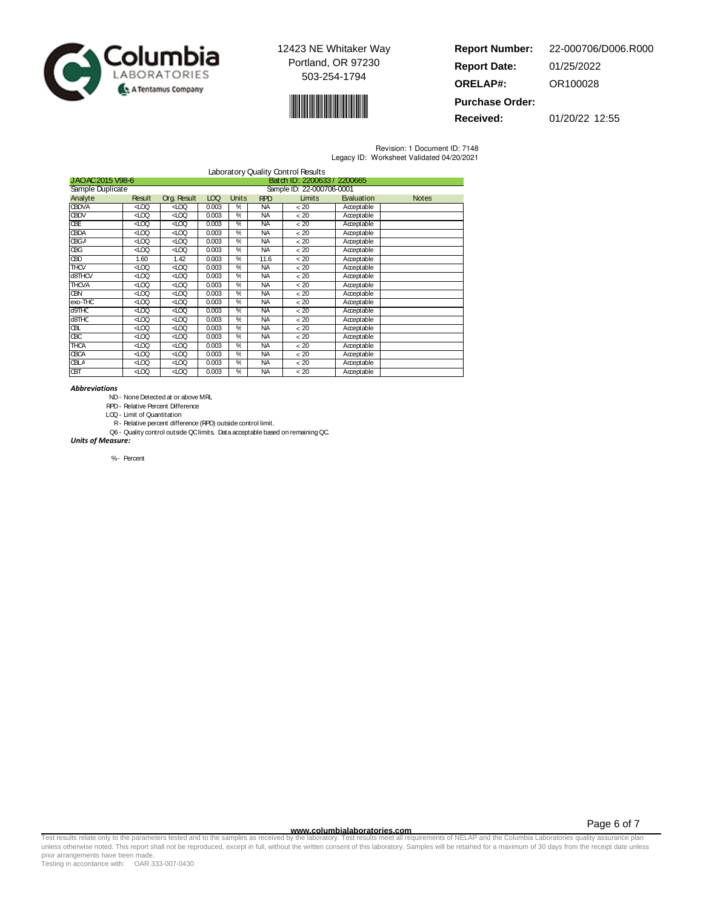



| <b>Report Number:</b>  | 22-000706/D006.R000 |
|------------------------|---------------------|
| <b>Report Date:</b>    | 01/25/2022          |
| <b>ORELAP#:</b>        | OR100028            |
| <b>Purchase Order:</b> |                     |

**Received:** 01/20/22 12:55

Revision: 1 Document ID: 7148 Legacy ID: Worksheet Validated 04/20/2021

|                                                |               |               |       |       |            | Laboratory Quality Control Results |            |              |
|------------------------------------------------|---------------|---------------|-------|-------|------------|------------------------------------|------------|--------------|
| Batch ID: 2200633 / 2200665<br>JAOAC2015 V98-6 |               |               |       |       |            |                                    |            |              |
| Sample Duplicate                               |               |               |       |       |            | Sample ID: 22-000706-0001          |            |              |
| Analyte                                        | <b>Result</b> | Org. Result   | LOQ   | Units | <b>RPD</b> | Limits                             | Evaluation | <b>Notes</b> |
| <b>CBDVA</b>                                   | ĝ             | ĝ             | 0.003 | %     | <b>NA</b>  | < 20                               | Acceptable |              |
| <b>GBDV</b>                                    | ĝ             | ĝ             | 0.003 | %     | <b>NA</b>  | < 20                               | Acceptable |              |
| ŒE                                             | ଏ ∕           | $rac{100}{2}$ | 0.003 | ℀     | NA.        | < 20                               | Acceptable |              |
| <b>CBDA</b>                                    | ĝ             | ĝ             | 0.003 | %     | <b>NA</b>  | < 20                               | Acceptable |              |
| <b>CBGA</b>                                    | ĝ             | ĝ             | 0.003 | %     | <b>NA</b>  | < 20                               | Acceptable |              |
| <b>CBG</b>                                     | ĝ             | ĝ             | 0.003 | %     | <b>NA</b>  | < 20                               | Acceptable |              |
| <b>GBD</b>                                     | 1.60          | 1.42          | 0.003 | %     | 11.6       | < 20                               | Acceptable |              |
| $\overline{T}$ HCV                             | ĝ             | ĝ             | 0.003 | %     | <b>NA</b>  | < 20                               | Acceptable |              |
| d8THCV                                         | ĝ             | ĝ             | 0.003 | %     | <b>NA</b>  | < 20                               | Acceptable |              |
| <b>THCVA</b>                                   | ĝ             | ĝ             | 0.003 | %     | <b>NA</b>  | < 20                               | Acceptable |              |
| QBN                                            | ĝ             | ĝ             | 0.003 | %     | <b>NA</b>  | < 20                               | Acceptable |              |
| exo-THC                                        | ĝ             | ĝ             | 0.003 | %     | <b>NA</b>  | < 20                               | Acceptable |              |
| d9THC                                          | ĝ             | ĝ             | 0.003 | %     | <b>NA</b>  | < 20                               | Acceptable |              |
| d8THC                                          | ĝ             | ĝ             | 0.003 | %     | <b>NA</b>  | < 20                               | Acceptable |              |
| Œ                                              | ĝ             | ĝ             | 0.003 | %     | <b>NA</b>  | < 20                               | Acceptable |              |
| ŒС                                             | ĝ             | ĝ             | 0.003 | %     | <b>NA</b>  | < 20                               | Acceptable |              |
| <b>THCA</b>                                    | ĝ             | ĝ             | 0.003 | %     | <b>NA</b>  | < 20                               | Acceptable |              |
| <b>CBCA</b>                                    | ⊲roo          | $rac{100}{2}$ | 0.003 | ℀     | <b>NA</b>  | < 20                               | Acceptable |              |
| <b>CBLA</b>                                    | ĝ             | ĝ             | 0.003 | %     | <b>NA</b>  | < 20                               | Acceptable |              |
| <b>CBT</b>                                     | ĝ             | ⊲roo          | 0.003 | %     | <b>NA</b>  | < 20                               | Acceptable |              |

#### Abbreviations

ND- NoneDetected at or above MRL

RPD- Relative Percent Difference

LOQ- Limit of Quantitation

R- Relative percent difference (RPD) outside control limit.

Q6 - Quality control outside QClimits. Data acceptable based on remaining QC. Units of Measure:

%- Percent

Page 6 of 7

www.columbialaboratories.com<br>Test results relate only to the parameters tested and to the samples as received by the laboratories metall requirements of NELAP and the Columbia Laboratories quality assurance plan<br>unless oth prior arrangements have been made.